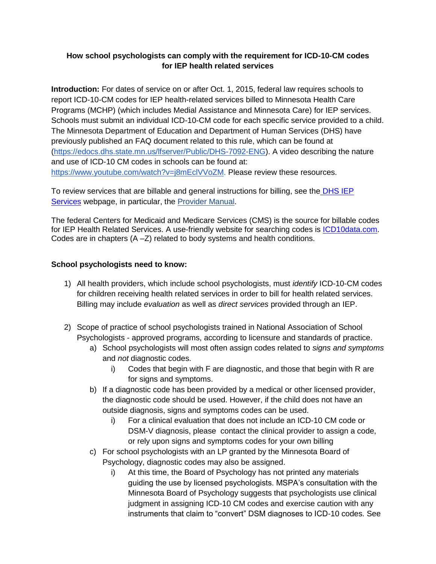# **How school psychologists can comply with the requirement for ICD-10-CM codes for IEP health related services**

**Introduction:** For dates of service on or after Oct. 1, 2015, federal law requires schools to report ICD-10-CM codes for IEP health-related services billed to Minnesota Health Care Programs (MCHP) (which includes Medial Assistance and Minnesota Care) for IEP services. Schools must submit an individual ICD-10-CM code for each specific service provided to a child. The Minnesota Department of Education and Department of Human Services (DHS) have previously published an FAQ document related to this rule, which can be found at [\(https://edocs.dhs.state.mn.us/lfserver/Public/DHS-7092-ENG\)](https://edocs.dhs.state.mn.us/lfserver/Public/DHS-7092-ENG). A video describing the nature and use of ICD-10 CM codes in schools can be found at: [https://www.youtube.com/watch?v=j8mEclVVoZM.](https://www.youtube.com/watch?v=j8mEclVVoZM) Please review these resources.

To review services that are billable and general instructions for billing, see the **DHS IEP** [Services](http://www.dhs.state.mn.us/main/idcplg?IdcService=GET_DYNAMIC_CONVERSION&RevisionSelectionMethod=LatestReleased&dDocName=id_009280) webpage, in particular, the Provider Manual.

The federal Centers for Medicaid and Medicare Services (CMS) is the source for billable codes for IEP Health Related Services. A use-friendly website for searching codes is **ICD10data.com.** Codes are in chapters (A –Z) related to body systems and health conditions.

## **School psychologists need to know:**

- 1) All health providers, which include school psychologists, must *identify* ICD-10-CM codes for children receiving health related services in order to bill for health related services. Billing may include *evaluation* as well as *direct services* provided through an IEP.
- 2) Scope of practice of school psychologists trained in National Association of School Psychologists - approved programs, according to licensure and standards of practice.
	- a) School psychologists will most often assign codes related to *signs and symptoms* and *not* diagnostic codes.
		- i) Codes that begin with F are diagnostic, and those that begin with R are for signs and symptoms.
	- b) If a diagnostic code has been provided by a medical or other licensed provider, the diagnostic code should be used. However, if the child does not have an outside diagnosis, signs and symptoms codes can be used.
		- i) For a clinical evaluation that does not include an ICD-10 CM code or DSM-V diagnosis, please contact the clinical provider to assign a code, or rely upon signs and symptoms codes for your own billing
	- c) For school psychologists with an LP granted by the Minnesota Board of Psychology, diagnostic codes may also be assigned.
		- i) At this time, the Board of Psychology has not printed any materials guiding the use by licensed psychologists. MSPA's consultation with the Minnesota Board of Psychology suggests that psychologists use clinical judgment in assigning ICD-10 CM codes and exercise caution with any instruments that claim to "convert" DSM diagnoses to ICD-10 codes. [See](https://www.psychiatry.org/psychiatrists/practice/dsm/icd-10)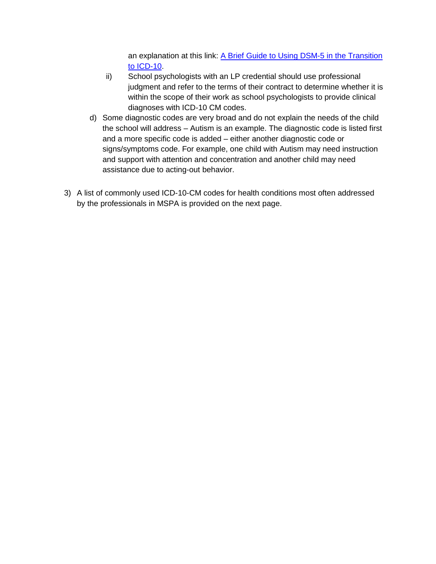an explanation at this link: [A Brief Guide to Using DSM-5 in the Transition](https://www.psychiatry.org/psychiatrists/practice/dsm/icd-10) [to ICD-10.](https://www.psychiatry.org/psychiatrists/practice/dsm/icd-10)

- ii) School psychologists with an LP credential should use professional judgment and refer to the terms of their contract to determine whether it is within the scope of their work as school psychologists to provide clinical diagnoses with ICD-10 CM codes.
- d) Some diagnostic codes are very broad and do not explain the needs of the child the school will address – Autism is an example. The diagnostic code is listed first and a more specific code is added – either another diagnostic code or signs/symptoms code. For example, one child with Autism may need instruction and support with attention and concentration and another child may need assistance due to acting-out behavior.
- 3) A list of commonly used ICD-10-CM codes for health conditions most often addressed by the professionals in MSPA is provided on the next page.